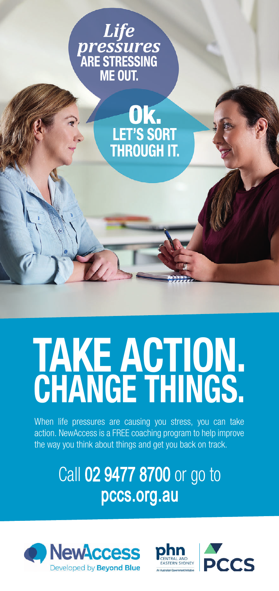



## TAKE ACTION. CHANGE THINGS.

When life pressures are causing you stress, you can take action. NewAccess is a FREE coaching program to help improve the way you think about things and get you back on track.

> Call 02 9477 8700 or go to pccs.org.au